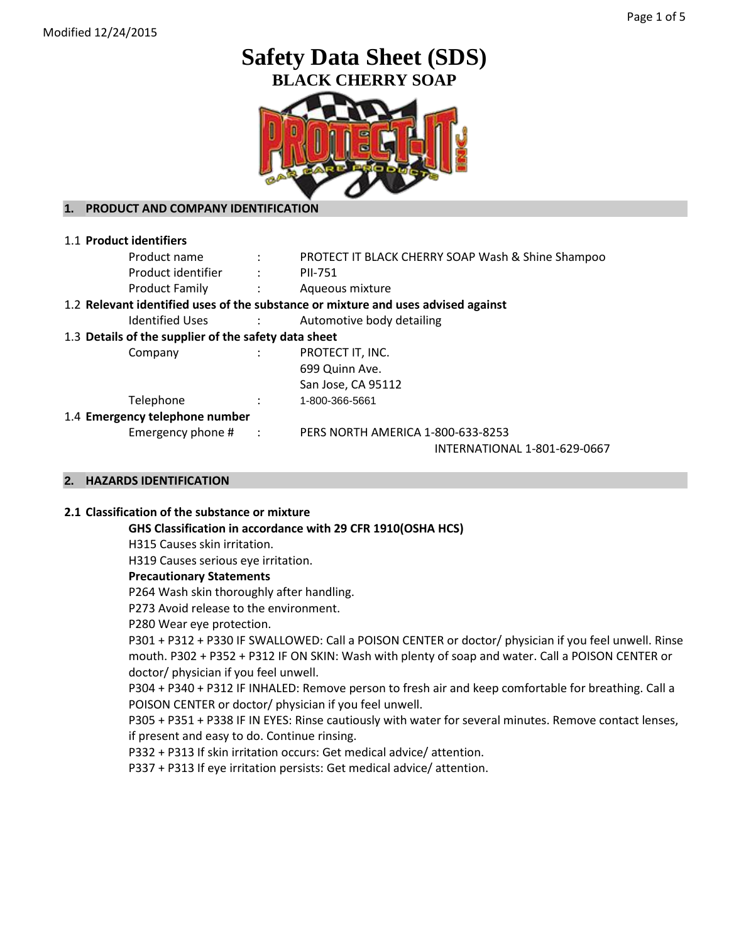# **Safety Data Sheet (SDS) BLACK CHERRY SOAP**



# **1. PRODUCT AND COMPANY IDENTIFICATION**

| 1.1 Product identifiers                                     |                      |                                                                                   |
|-------------------------------------------------------------|----------------------|-----------------------------------------------------------------------------------|
| Product name                                                | $\ddot{\phantom{a}}$ | PROTECT IT BLACK CHERRY SOAP Wash & Shine Shampoo                                 |
| Product identifier                                          |                      | <b>PII-751</b>                                                                    |
| <b>Product Family</b><br>$\sim$ $\sim$ $\sim$ $\sim$ $\sim$ |                      | Aqueous mixture                                                                   |
|                                                             |                      | 1.2 Relevant identified uses of the substance or mixture and uses advised against |
| Identified Uses                                             | $\mathcal{L}$        | Automotive body detailing                                                         |
| 1.3 Details of the supplier of the safety data sheet        |                      |                                                                                   |
| Company                                                     |                      | PROTECT IT, INC.                                                                  |
|                                                             |                      | 699 Quinn Ave.                                                                    |
|                                                             |                      | San Jose, CA 95112                                                                |
| Telephone                                                   |                      | 1-800-366-5661                                                                    |
| 1.4 Emergency telephone number                              |                      |                                                                                   |
| Emergency phone $#$ :                                       |                      | PERS NORTH AMERICA 1-800-633-8253                                                 |
|                                                             |                      | INTERNATIONAL 1-801-629-0667                                                      |

# **2. HAZARDS IDENTIFICATION**

## **2.1 Classification of the substance or mixture**

**GHS Classification in accordance with 29 CFR 1910(OSHA HCS)**

H315 Causes skin irritation.

H319 Causes serious eye irritation.

#### **Precautionary Statements**

P264 Wash skin thoroughly after handling.

P273 Avoid release to the environment.

P280 Wear eye protection.

P301 + P312 + P330 IF SWALLOWED: Call a POISON CENTER or doctor/ physician if you feel unwell. Rinse mouth. P302 + P352 + P312 IF ON SKIN: Wash with plenty of soap and water. Call a POISON CENTER or doctor/ physician if you feel unwell.

P304 + P340 + P312 IF INHALED: Remove person to fresh air and keep comfortable for breathing. Call a POISON CENTER or doctor/ physician if you feel unwell.

P305 + P351 + P338 IF IN EYES: Rinse cautiously with water for several minutes. Remove contact lenses, if present and easy to do. Continue rinsing.

P332 + P313 If skin irritation occurs: Get medical advice/ attention.

P337 + P313 If eye irritation persists: Get medical advice/ attention.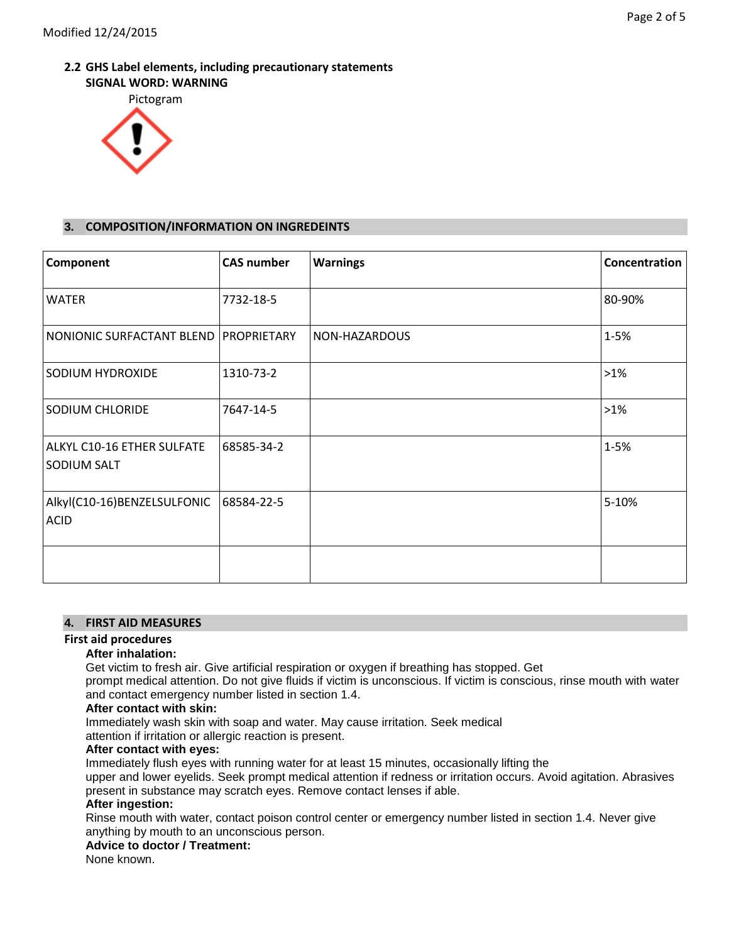# **2.2 GHS Label elements, including precautionary statements SIGNAL WORD: WARNING**



# **3. COMPOSITION/INFORMATION ON INGREDEINTS**

| Component                                  | <b>CAS number</b> | <b>Warnings</b> | Concentration |
|--------------------------------------------|-------------------|-----------------|---------------|
| <b>WATER</b>                               | 7732-18-5         |                 | 80-90%        |
| NONIONIC SURFACTANT BLEND                  | PROPRIETARY       | NON-HAZARDOUS   | 1-5%          |
| SODIUM HYDROXIDE                           | 1310-73-2         |                 | $>1\%$        |
| SODIUM CHLORIDE                            | 7647-14-5         |                 | $>1\%$        |
| ALKYL C10-16 ETHER SULFATE<br>SODIUM SALT  | 68585-34-2        |                 | $1 - 5%$      |
| Alkyl(C10-16)BENZELSULFONIC<br><b>ACID</b> | 68584-22-5        |                 | 5-10%         |
|                                            |                   |                 |               |

# **4. FIRST AID MEASURES**

# **First aid procedures**

#### **After inhalation:**

Get victim to fresh air. Give artificial respiration or oxygen if breathing has stopped. Get

prompt medical attention. Do not give fluids if victim is unconscious. If victim is conscious, rinse mouth with water and contact emergency number listed in section 1.4.

## **After contact with skin:**

Immediately wash skin with soap and water. May cause irritation. Seek medical

attention if irritation or allergic reaction is present.

## **After contact with eyes:**

Immediately flush eyes with running water for at least 15 minutes, occasionally lifting the

upper and lower eyelids. Seek prompt medical attention if redness or irritation occurs. Avoid agitation. Abrasives present in substance may scratch eyes. Remove contact lenses if able.

#### **After ingestion:**

Rinse mouth with water, contact poison control center or emergency number listed in section 1.4. Never give anything by mouth to an unconscious person.

#### **Advice to doctor / Treatment:**

None known.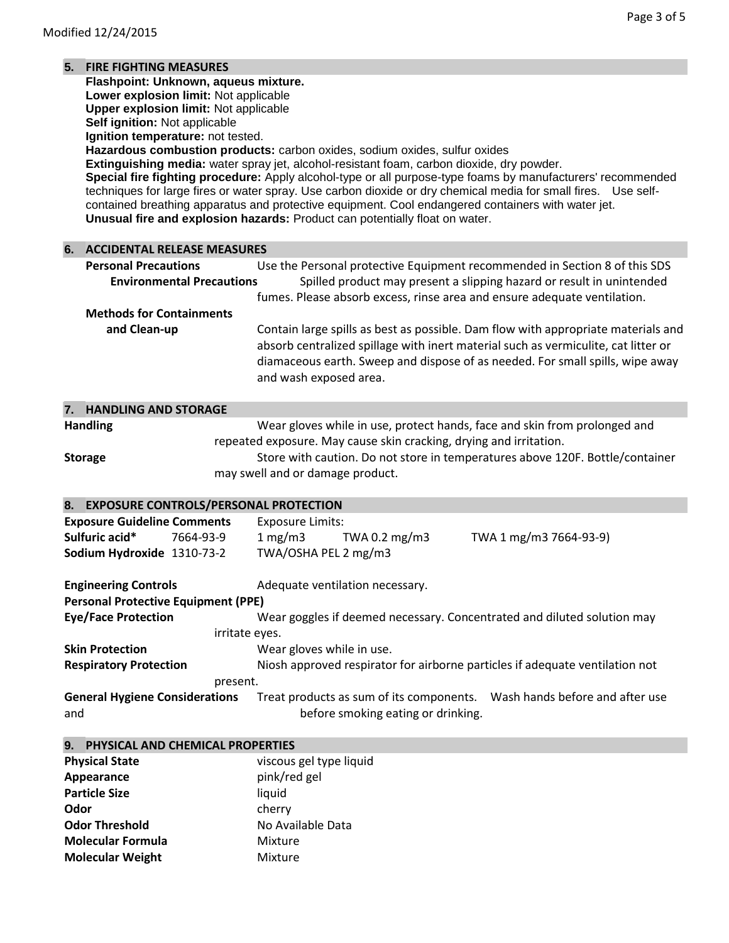# **5. FIRE FIGHTING MEASURES**

**Flashpoint: Unknown, aqueus mixture.**

**Lower explosion limit:** Not applicable **Upper explosion limit:** Not applicable

**Self ignition:** Not applicable

**Ignition temperature:** not tested.

**Hazardous combustion products:** carbon oxides, sodium oxides, sulfur oxides

**Extinguishing media:** water spray jet, alcohol-resistant foam, carbon dioxide, dry powder.

**Special fire fighting procedure:** Apply alcohol-type or all purpose-type foams by manufacturers' recommended techniques for large fires or water spray. Use carbon dioxide or dry chemical media for small fires. Use selfcontained breathing apparatus and protective equipment. Cool endangered containers with water jet. **Unusual fire and explosion hazards:** Product can potentially float on water.

| 6.  | <b>ACCIDENTAL RELEASE MEASURES</b>         |                                                                                                                                                                                                                                                                                    |
|-----|--------------------------------------------|------------------------------------------------------------------------------------------------------------------------------------------------------------------------------------------------------------------------------------------------------------------------------------|
|     | <b>Personal Precautions</b>                | Use the Personal protective Equipment recommended in Section 8 of this SDS                                                                                                                                                                                                         |
|     | <b>Environmental Precautions</b>           | Spilled product may present a slipping hazard or result in unintended                                                                                                                                                                                                              |
|     |                                            | fumes. Please absorb excess, rinse area and ensure adequate ventilation.                                                                                                                                                                                                           |
|     | <b>Methods for Containments</b>            |                                                                                                                                                                                                                                                                                    |
|     | and Clean-up                               | Contain large spills as best as possible. Dam flow with appropriate materials and<br>absorb centralized spillage with inert material such as vermiculite, cat litter or<br>diamaceous earth. Sweep and dispose of as needed. For small spills, wipe away<br>and wash exposed area. |
| 7.  | <b>HANDLING AND STORAGE</b>                |                                                                                                                                                                                                                                                                                    |
|     | <b>Handling</b>                            | Wear gloves while in use, protect hands, face and skin from prolonged and                                                                                                                                                                                                          |
|     |                                            | repeated exposure. May cause skin cracking, drying and irritation.                                                                                                                                                                                                                 |
|     | <b>Storage</b>                             | Store with caution. Do not store in temperatures above 120F. Bottle/container                                                                                                                                                                                                      |
|     |                                            | may swell and or damage product.                                                                                                                                                                                                                                                   |
|     |                                            |                                                                                                                                                                                                                                                                                    |
|     | 8. EXPOSURE CONTROLS/PERSONAL PROTECTION   |                                                                                                                                                                                                                                                                                    |
|     | <b>Exposure Guideline Comments</b>         | <b>Exposure Limits:</b>                                                                                                                                                                                                                                                            |
|     | Sulfuric acid*<br>7664-93-9                | 1 mg/m3<br>TWA 0.2 mg/m3<br>TWA 1 mg/m3 7664-93-9)                                                                                                                                                                                                                                 |
|     | Sodium Hydroxide 1310-73-2                 | TWA/OSHA PEL 2 mg/m3                                                                                                                                                                                                                                                               |
|     | <b>Engineering Controls</b>                | Adequate ventilation necessary.                                                                                                                                                                                                                                                    |
|     | <b>Personal Protective Equipment (PPE)</b> |                                                                                                                                                                                                                                                                                    |
|     | <b>Eye/Face Protection</b>                 | Wear goggles if deemed necessary. Concentrated and diluted solution may                                                                                                                                                                                                            |
|     |                                            | irritate eyes.                                                                                                                                                                                                                                                                     |
|     | <b>Skin Protection</b>                     | Wear gloves while in use.                                                                                                                                                                                                                                                          |
|     | <b>Respiratory Protection</b>              | Niosh approved respirator for airborne particles if adequate ventilation not                                                                                                                                                                                                       |
|     |                                            | present.                                                                                                                                                                                                                                                                           |
|     | <b>General Hygiene Considerations</b>      | Treat products as sum of its components.  Wash hands before and after use                                                                                                                                                                                                          |
| and |                                            | before smoking eating or drinking.                                                                                                                                                                                                                                                 |
|     | 9. PHYSICAL AND CHEMICAL PROPERTIES        |                                                                                                                                                                                                                                                                                    |
|     | <b>Physical State</b>                      | viscous gel type liquid                                                                                                                                                                                                                                                            |
|     | Appearance                                 | pink/red gel                                                                                                                                                                                                                                                                       |
|     | <b>Particle Size</b>                       | liquid                                                                                                                                                                                                                                                                             |

|                          | $\blacksquare$ $\blacksquare$ $\blacksquare$ $\blacksquare$ $\blacksquare$ $\blacksquare$ $\blacksquare$ $\blacksquare$ $\blacksquare$ $\blacksquare$ $\blacksquare$ $\blacksquare$ $\blacksquare$ $\blacksquare$ $\blacksquare$ $\blacksquare$ $\blacksquare$ $\blacksquare$ $\blacksquare$ $\blacksquare$ $\blacksquare$ $\blacksquare$ $\blacksquare$ $\blacksquare$ $\blacksquare$ $\blacksquare$ $\blacksquare$ $\blacksquare$ $\blacksquare$ $\blacksquare$ $\blacksquare$ $\blacks$ |
|--------------------------|--------------------------------------------------------------------------------------------------------------------------------------------------------------------------------------------------------------------------------------------------------------------------------------------------------------------------------------------------------------------------------------------------------------------------------------------------------------------------------------------|
| Particle Size            | liquid                                                                                                                                                                                                                                                                                                                                                                                                                                                                                     |
| Odor                     | cherry                                                                                                                                                                                                                                                                                                                                                                                                                                                                                     |
| <b>Odor Threshold</b>    | No Available Data                                                                                                                                                                                                                                                                                                                                                                                                                                                                          |
| <b>Molecular Formula</b> | Mixture                                                                                                                                                                                                                                                                                                                                                                                                                                                                                    |
| <b>Molecular Weight</b>  | Mixture                                                                                                                                                                                                                                                                                                                                                                                                                                                                                    |
|                          |                                                                                                                                                                                                                                                                                                                                                                                                                                                                                            |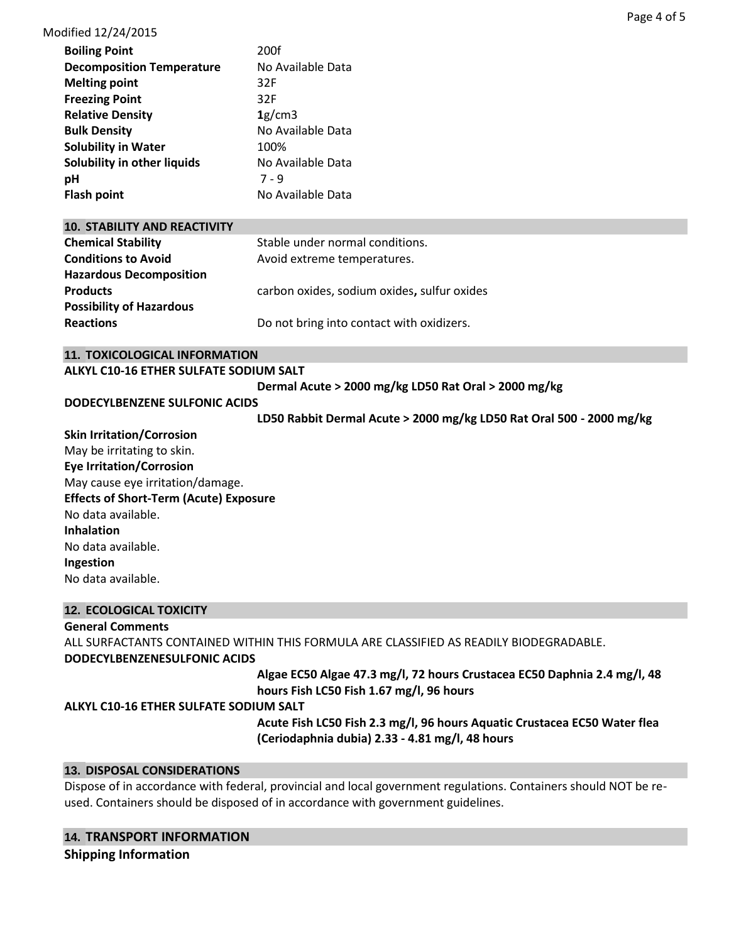# Modified 12/24/2015

| <b>Boiling Point</b>             | 200f              |
|----------------------------------|-------------------|
| <b>Decomposition Temperature</b> | No Available Data |
| <b>Melting point</b>             | 32F               |
| <b>Freezing Point</b>            | 32F               |
| <b>Relative Density</b>          | 1g/cm3            |
| <b>Bulk Density</b>              | No Available Data |
| <b>Solubility in Water</b>       | 100%              |
| Solubility in other liquids      | No Available Data |
| рH                               | $7 - 9$           |
| <b>Flash point</b>               | No Available Data |

| <b>10. STABILITY AND REACTIVITY</b> |                                             |
|-------------------------------------|---------------------------------------------|
| <b>Chemical Stability</b>           | Stable under normal conditions.             |
| <b>Conditions to Avoid</b>          | Avoid extreme temperatures.                 |
| <b>Hazardous Decomposition</b>      |                                             |
| <b>Products</b>                     | carbon oxides, sodium oxides, sulfur oxides |
| <b>Possibility of Hazardous</b>     |                                             |
| <b>Reactions</b>                    | Do not bring into contact with oxidizers.   |

## **11. TOXICOLOGICAL INFORMATION**

#### **ALKYL C10-16 ETHER SULFATE SODIUM SALT**

**Dermal Acute > 2000 mg/kg LD50 Rat Oral > 2000 mg/kg** 

## **DODECYLBENZENE SULFONIC ACIDS**

**LD50 Rabbit Dermal Acute > 2000 mg/kg LD50 Rat Oral 500 - 2000 mg/kg** 

**Skin Irritation/Corrosion** May be irritating to skin. **Eye Irritation/Corrosion** May cause eye irritation/damage. **Effects of Short-Term (Acute) Exposure** No data available. **Inhalation** No data available. **Ingestion** No data available.

# **12. ECOLOGICAL TOXICITY**

**General Comments**

ALL SURFACTANTS CONTAINED WITHIN THIS FORMULA ARE CLASSIFIED AS READILY BIODEGRADABLE. **DODECYLBENZENESULFONIC ACIDS**

**Algae EC50 Algae 47.3 mg/l, 72 hours Crustacea EC50 Daphnia 2.4 mg/l, 48 hours Fish LC50 Fish 1.67 mg/l, 96 hours** 

# **ALKYL C10-16 ETHER SULFATE SODIUM SALT**

**Acute Fish LC50 Fish 2.3 mg/l, 96 hours Aquatic Crustacea EC50 Water flea (Ceriodaphnia dubia) 2.33 - 4.81 mg/l, 48 hours** 

# **13. DISPOSAL CONSIDERATIONS**

Dispose of in accordance with federal, provincial and local government regulations. Containers should NOT be reused. Containers should be disposed of in accordance with government guidelines.

# **14. TRANSPORT INFORMATION**

**Shipping Information**